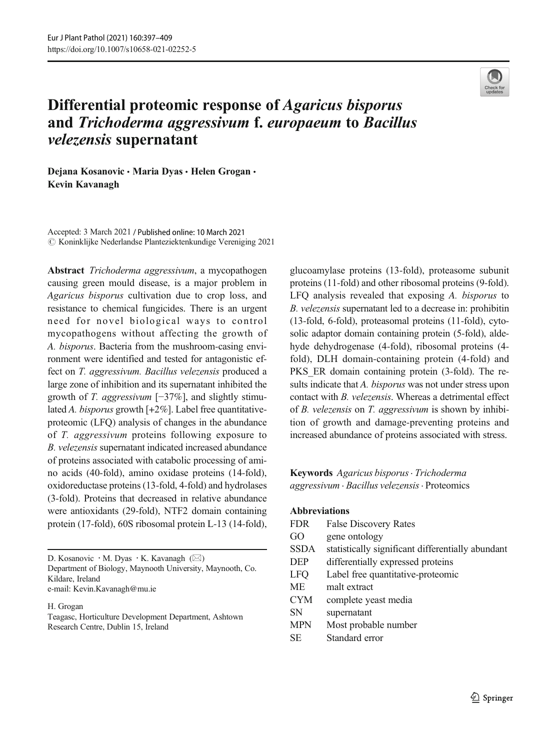

# Differential proteomic response of Agaricus bisporus and Trichoderma aggressivum f. europaeum to Bacillus velezensis supernatant

Dejana Kosanovic · Maria Dyas · Helen Grogan · Kevin Kavanagh

Accepted: 3 March 2021 / Published online: 10 March 2021  $\odot$  Koninklijke Nederlandse Planteziektenkundige Vereniging 2021

Abstract Trichoderma aggressivum, a mycopathogen causing green mould disease, is a major problem in Agaricus bisporus cultivation due to crop loss, and resistance to chemical fungicides. There is an urgent need for novel biological ways to control mycopathogens without affecting the growth of A. bisporus. Bacteria from the mushroom-casing environment were identified and tested for antagonistic effect on T. aggressivum. Bacillus velezensis produced a large zone of inhibition and its supernatant inhibited the growth of T. aggressivum [−37%], and slightly stimulated A. bisporus growth  $[+2\%]$ . Label free quantitativeproteomic (LFQ) analysis of changes in the abundance of T. aggressivum proteins following exposure to B. velezensis supernatant indicated increased abundance of proteins associated with catabolic processing of amino acids (40-fold), amino oxidase proteins (14-fold), oxidoreductase proteins (13-fold, 4-fold) and hydrolases (3-fold). Proteins that decreased in relative abundance were antioxidants (29-fold), NTF2 domain containing protein (17-fold), 60S ribosomal protein L-13 (14-fold),

D. Kosanovic · M. Dyas · K. Kavanagh (⊠) Department of Biology, Maynooth University, Maynooth, Co. Kildare, Ireland

e-mail: Kevin.Kavanagh@mu.ie

H. Grogan

Teagasc, Horticulture Development Department, Ashtown Research Centre, Dublin 15, Ireland

glucoamylase proteins (13-fold), proteasome subunit proteins (11-fold) and other ribosomal proteins (9-fold). LFQ analysis revealed that exposing A. bisporus to B. velezensis supernatant led to a decrease in: prohibitin (13-fold, 6-fold), proteasomal proteins (11-fold), cytosolic adaptor domain containing protein (5-fold), aldehyde dehydrogenase (4-fold), ribosomal proteins (4 fold), DLH domain-containing protein (4-fold) and PKS ER domain containing protein (3-fold). The results indicate that A. bisporus was not under stress upon contact with B. velezensis. Whereas a detrimental effect of B. velezensis on T. aggressivum is shown by inhibition of growth and damage-preventing proteins and increased abundance of proteins associated with stress.

Keywords Agaricus bisporus. Trichoderma aggressivum . Bacillus velezensis. Proteomics

#### Abbreviations

| <b>FDR</b>  | <b>False Discovery Rates</b>                      |
|-------------|---------------------------------------------------|
| GO          | gene ontology                                     |
| <b>SSDA</b> | statistically significant differentially abundant |
| <b>DEP</b>  | differentially expressed proteins                 |
| <b>LFO</b>  | Label free quantitative-proteomic                 |
| МE          | malt extract                                      |
| <b>CYM</b>  | complete yeast media                              |
| <b>SN</b>   | supernatant                                       |
| <b>MPN</b>  | Most probable number                              |
| <b>SE</b>   | Standard error                                    |
|             |                                                   |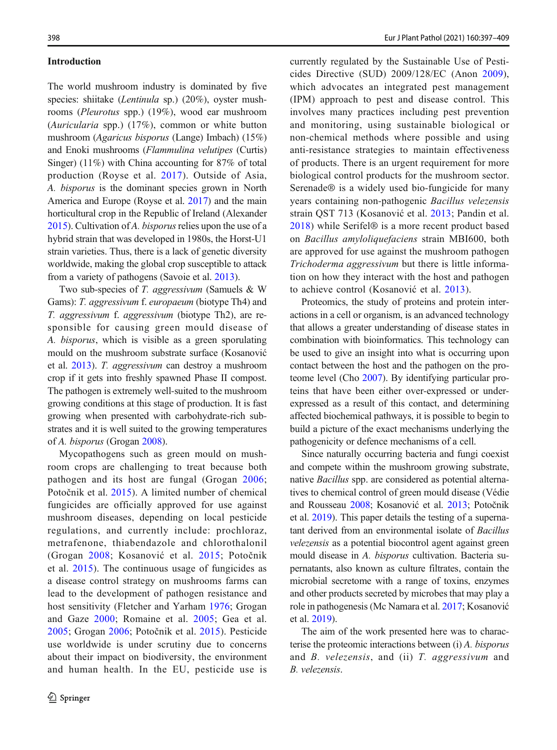#### Introduction

The world mushroom industry is dominated by five species: shiitake (*Lentinula* sp.) (20%), oyster mushrooms (Pleurotus spp.) (19%), wood ear mushroom (Auricularia spp.) (17%), common or white button mushroom (Agaricus bisporus (Lange) Imbach) (15%) and Enoki mushrooms (Flammulina velutipes (Curtis) Singer) (11%) with China accounting for 87% of total production (Royse et al. [2017](#page-11-0)). Outside of Asia, A. bisporus is the dominant species grown in North America and Europe (Royse et al. [2017](#page-11-0)) and the main horticultural crop in the Republic of Ireland (Alexander [2015](#page-10-0)). Cultivation of A. bisporus relies upon the use of a hybrid strain that was developed in 1980s, the Horst-U1 strain varieties. Thus, there is a lack of genetic diversity worldwide, making the global crop susceptible to attack from a variety of pathogens (Savoie et al. [2013](#page-11-0)).

Two sub-species of T. aggressivum (Samuels & W Gams): T. aggressivum f. europaeum (biotype Th4) and T. aggressivum f. aggressivum (biotype Th2), are responsible for causing green mould disease of A. bisporus, which is visible as a green sporulating mould on the mushroom substrate surface (Kosanović et al. [2013\)](#page-10-0). T. aggressivum can destroy a mushroom crop if it gets into freshly spawned Phase II compost. The pathogen is extremely well-suited to the mushroom growing conditions at this stage of production. It is fast growing when presented with carbohydrate-rich substrates and it is well suited to the growing temperatures of A. bisporus (Grogan [2008](#page-10-0)).

Mycopathogens such as green mould on mushroom crops are challenging to treat because both pathogen and its host are fungal (Grogan [2006](#page-10-0); Potočnik et al. [2015\)](#page-11-0). A limited number of chemical fungicides are officially approved for use against mushroom diseases, depending on local pesticide regulations, and currently include: prochloraz, metrafenone, thiabendazole and chlorothalonil (Grogan [2008](#page-10-0); Kosanović et al. [2015;](#page-11-0) Potočnik et al. [2015\)](#page-11-0). The continuous usage of fungicides as a disease control strategy on mushrooms farms can lead to the development of pathogen resistance and host sensitivity (Fletcher and Yarham [1976;](#page-10-0) Grogan and Gaze [2000](#page-10-0); Romaine et al. [2005;](#page-11-0) Gea et al. [2005](#page-10-0); Grogan [2006](#page-10-0); Potočnik et al. [2015\)](#page-11-0). Pesticide use worldwide is under scrutiny due to concerns about their impact on biodiversity, the environment and human health. In the EU, pesticide use is currently regulated by the Sustainable Use of Pesticides Directive (SUD) 2009/128/EC (Anon [2009](#page-10-0)), which advocates an integrated pest management (IPM) approach to pest and disease control. This involves many practices including pest prevention and monitoring, using sustainable biological or non-chemical methods where possible and using anti-resistance strategies to maintain effectiveness of products. There is an urgent requirement for more biological control products for the mushroom sector. Serenade® is a widely used bio-fungicide for many years containing non-pathogenic Bacillus velezensis strain QST 713 (Kosanović et al. [2013](#page-10-0); Pandin et al. [2018](#page-11-0)) while Serifel® is a more recent product based on Bacillus amyloliquefaciens strain MBI600, both are approved for use against the mushroom pathogen Trichoderma aggressivum but there is little information on how they interact with the host and pathogen to achieve control (Kosanović et al. [2013](#page-10-0)).

Proteomics, the study of proteins and protein interactions in a cell or organism, is an advanced technology that allows a greater understanding of disease states in combination with bioinformatics. This technology can be used to give an insight into what is occurring upon contact between the host and the pathogen on the proteome level (Cho [2007\)](#page-10-0). By identifying particular proteins that have been either over-expressed or underexpressed as a result of this contact, and determining affected biochemical pathways, it is possible to begin to build a picture of the exact mechanisms underlying the pathogenicity or defence mechanisms of a cell.

Since naturally occurring bacteria and fungi coexist and compete within the mushroom growing substrate, native Bacillus spp. are considered as potential alternatives to chemical control of green mould disease (Védie and Rousseau [2008;](#page-11-0) Kosanović et al. [2013](#page-10-0); Potočnik et al. [2019](#page-11-0)). This paper details the testing of a supernatant derived from an environmental isolate of Bacillus velezensis as a potential biocontrol agent against green mould disease in A. bisporus cultivation. Bacteria supernatants, also known as culture filtrates, contain the microbial secretome with a range of toxins, enzymes and other products secreted by microbes that may play a role in pathogenesis (Mc Namara et al. [2017](#page-11-0); Kosanović et al. [2019\)](#page-11-0).

The aim of the work presented here was to characterise the proteomic interactions between (i) A. bisporus and B. velezensis, and (ii) T. aggressivum and B. velezensis.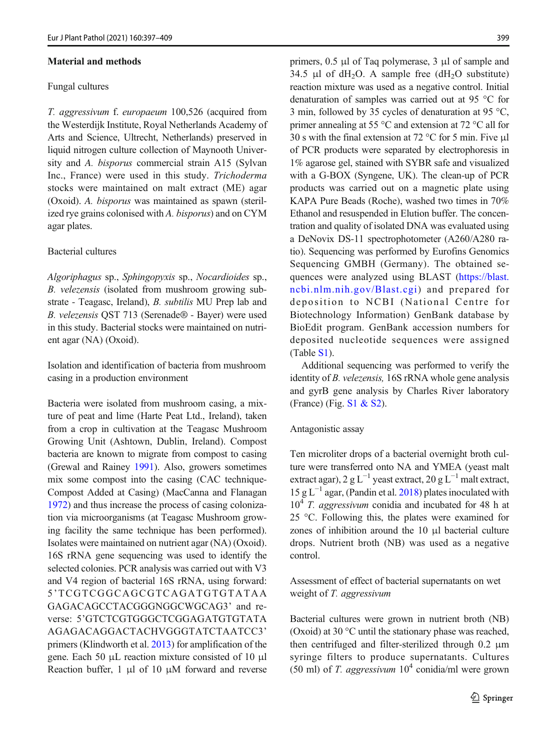## Material and methods

#### Fungal cultures

T. aggressivum f. europaeum 100,526 (acquired from the Westerdijk Institute, Royal Netherlands Academy of Arts and Science, Ultrecht, Netherlands) preserved in liquid nitrogen culture collection of Maynooth University and A. bisporus commercial strain A15 (Sylvan Inc., France) were used in this study. Trichoderma stocks were maintained on malt extract (ME) agar (Oxoid). A. bisporus was maintained as spawn (sterilized rye grains colonised with A. bisporus) and on CYM agar plates.

## Bacterial cultures

Algoriphagus sp., Sphingopyxis sp., Nocardioides sp., B. velezensis (isolated from mushroom growing substrate - Teagasc, Ireland), B. subtilis MU Prep lab and B. velezensis QST 713 (Serenade® - Bayer) were used in this study. Bacterial stocks were maintained on nutrient agar (NA) (Oxoid).

Isolation and identification of bacteria from mushroom casing in a production environment

Bacteria were isolated from mushroom casing, a mixture of peat and lime (Harte Peat Ltd., Ireland), taken from a crop in cultivation at the Teagasc Mushroom Growing Unit (Ashtown, Dublin, Ireland). Compost bacteria are known to migrate from compost to casing (Grewal and Rainey [1991](#page-10-0)). Also, growers sometimes mix some compost into the casing (CAC technique-Compost Added at Casing) (MacCanna and Flanagan [1972](#page-11-0)) and thus increase the process of casing colonization via microorganisms (at Teagasc Mushroom growing facility the same technique has been performed). Isolates were maintained on nutrient agar (NA) (Oxoid). 16S rRNA gene sequencing was used to identify the selected colonies. PCR analysis was carried out with V3 and V4 region of bacterial 16S rRNA, using forward: 5'TCGTCGGCAGCGTCAGATGTGTATAA GAGACAGCCTACGGGNGGCWGCAG3' and reverse: 5'GTCTCGTGGGCTCGGAGATGTGTATA AGAGACAGGACTACHVGGGTATCTAATCC3' primers (Klindworth et al. [2013](#page-11-0)) for amplification of the gene. Each 50 μL reaction mixture consisted of 10 μl Reaction buffer, 1 μl of 10 μM forward and reverse primers, 0.5 μl of Taq polymerase, 3 μl of sample and 34.5 μl of  $dH_2O$ . A sample free  $(dH_2O$  substitute) reaction mixture was used as a negative control. Initial denaturation of samples was carried out at 95 °C for 3 min, followed by 35 cycles of denaturation at 95 °C, primer annealing at 55 °C and extension at 72 °C all for 30 s with the final extension at 72 °C for 5 min. Five μl of PCR products were separated by electrophoresis in 1% agarose gel, stained with SYBR safe and visualized with a G-BOX (Syngene, UK). The clean-up of PCR products was carried out on a magnetic plate using KAPA Pure Beads (Roche), washed two times in 70% Ethanol and resuspended in Elution buffer. The concentration and quality of isolated DNA was evaluated using a DeNovix DS-11 spectrophotometer (A260/A280 ratio). Sequencing was performed by Eurofins Genomics Sequencing GMBH (Germany). The obtained sequences were analyzed using BLAST ([https://blast.](https://blast.ncbi.nlm.nih.gov/Blast.cgi) [ncbi.nlm.nih.gov/Blast.cgi\)](https://blast.ncbi.nlm.nih.gov/Blast.cgi) and prepared for deposition to NCBI (National Centre for Biotechnology Information) GenBank database by BioEdit program. GenBank accession numbers for deposited nucleotide sequences were assigned (Table S1).

Additional sequencing was performed to verify the identity of *B. velezensis*, 16S rRNA whole gene analysis and gyrB gene analysis by Charles River laboratory (France) (Fig.  $S1 & S2$ ).

#### Antagonistic assay

Ten microliter drops of a bacterial overnight broth culture were transferred onto NA and YMEA (yeast malt extract agar), 2 g L<sup>-1</sup> yeast extract, 20 g L<sup>-1</sup> malt extract,  $15 g L^{-1}$  agar, (Pandin et al. [2018\)](#page-11-0) plates inoculated with  $10<sup>4</sup>$  T. aggressivum conidia and incubated for 48 h at 25 °C. Following this, the plates were examined for zones of inhibition around the 10 μl bacterial culture drops. Nutrient broth (NB) was used as a negative control.

Assessment of effect of bacterial supernatants on wet weight of T. aggressivum

Bacterial cultures were grown in nutrient broth (NB) (Oxoid) at 30 °C until the stationary phase was reached, then centrifuged and filter-sterilized through 0.2 μm syringe filters to produce supernatants. Cultures (50 ml) of T. aggressivum  $10^4$  conidia/ml were grown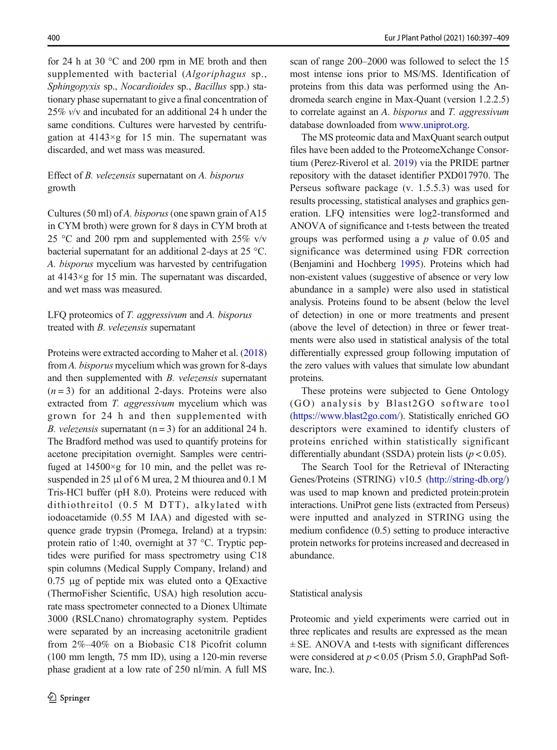for 24 h at 30 °C and 200 rpm in ME broth and then supplemented with bacterial (Algoriphagus sp., Sphingopyxis sp., Nocardioides sp., Bacillus spp.) stationary phase supernatant to give a final concentration of 25% v/v and incubated for an additional 24 h under the same conditions. Cultures were harvested by centrifugation at  $4143 \times g$  for 15 min. The supernatant was discarded, and wet mass was measured.

# Effect of B. velezensis supernatant on A. bisporus growth

Cultures (50 ml) of A. bisporus (one spawn grain of A15 in CYM broth) were grown for 8 days in CYM broth at 25 °C and 200 rpm and supplemented with 25%  $v/v$ bacterial supernatant for an additional 2-days at 25 °C. A. bisporus mycelium was harvested by centrifugation at 4143×g for 15 min. The supernatant was discarded, and wet mass was measured.

# LFQ proteomics of T. aggressivum and A. bisporus treated with B. velezensis supernatant

Proteins were extracted according to Maher et al. [\(2018\)](#page-11-0) from A. bisporus mycelium which was grown for 8-days and then supplemented with B. velezensis supernatant  $(n=3)$  for an additional 2-days. Proteins were also extracted from T. *aggressivum* mycelium which was grown for 24 h and then supplemented with *B. velezensis* supernatant  $(n = 3)$  for an additional 24 h. The Bradford method was used to quantify proteins for acetone precipitation overnight. Samples were centrifuged at  $14500 \times g$  for 10 min, and the pellet was resuspended in 25 μl of 6 M urea, 2 M thiourea and 0.1 M Tris-HCl buffer (pH 8.0). Proteins were reduced with dithiothreitol (0.5 M DTT), alkylated with iodoacetamide (0.55 M IAA) and digested with sequence grade trypsin (Promega, Ireland) at a trypsin: protein ratio of 1:40, overnight at 37 °C. Tryptic peptides were purified for mass spectrometry using C18 spin columns (Medical Supply Company, Ireland) and 0.75 μg of peptide mix was eluted onto a QExactive (ThermoFisher Scientific, USA) high resolution accurate mass spectrometer connected to a Dionex Ultimate 3000 (RSLCnano) chromatography system. Peptides were separated by an increasing acetonitrile gradient from 2%–40% on a Biobasic C18 Picofrit column (100 mm length, 75 mm ID), using a 120-min reverse phase gradient at a low rate of 250 nl/min. A full MS scan of range 200–2000 was followed to select the 15 most intense ions prior to MS/MS. Identification of proteins from this data was performed using the Andromeda search engine in Max-Quant (version 1.2.2.5) to correlate against an A. bisporus and T. aggressivum database downloaded from [www.uniprot.org](http://www.uniprot.org).

The MS proteomic data and MaxQuant search output files have been added to the ProteomeXchange Consortium (Perez-Riverol et al. [2019\)](#page-11-0) via the PRIDE partner repository with the dataset identifier PXD017970. The Perseus software package (v. 1.5.5.3) was used for results processing, statistical analyses and graphics generation. LFQ intensities were log2-transformed and ANOVA of significance and t-tests between the treated groups was performed using a  $p$  value of 0.05 and significance was determined using FDR correction (Benjamini and Hochberg [1995\)](#page-10-0). Proteins which had non-existent values (suggestive of absence or very low abundance in a sample) were also used in statistical analysis. Proteins found to be absent (below the level of detection) in one or more treatments and present (above the level of detection) in three or fewer treatments were also used in statistical analysis of the total differentially expressed group following imputation of the zero values with values that simulate low abundant proteins.

These proteins were subjected to Gene Ontology (GO) analysis by Blast2GO software tool [\(https://www.blast2go.com/\)](https://www.blast2go.com/). Statistically enriched GO descriptors were examined to identify clusters of proteins enriched within statistically significant differentially abundant (SSDA) protein lists ( $p < 0.05$ ).

The Search Tool for the Retrieval of INteracting Genes/Proteins (STRING) v10.5 ([http://string-db.org/](http://string--db.org/)) was used to map known and predicted protein:protein interactions. UniProt gene lists (extracted from Perseus) were inputted and analyzed in STRING using the medium confidence (0.5) setting to produce interactive protein networks for proteins increased and decreased in abundance.

## Statistical analysis

Proteomic and yield experiments were carried out in three replicates and results are expressed as the mean  $\pm$  SE. ANOVA and t-tests with significant differences were considered at  $p < 0.05$  (Prism 5.0, GraphPad Software, Inc.).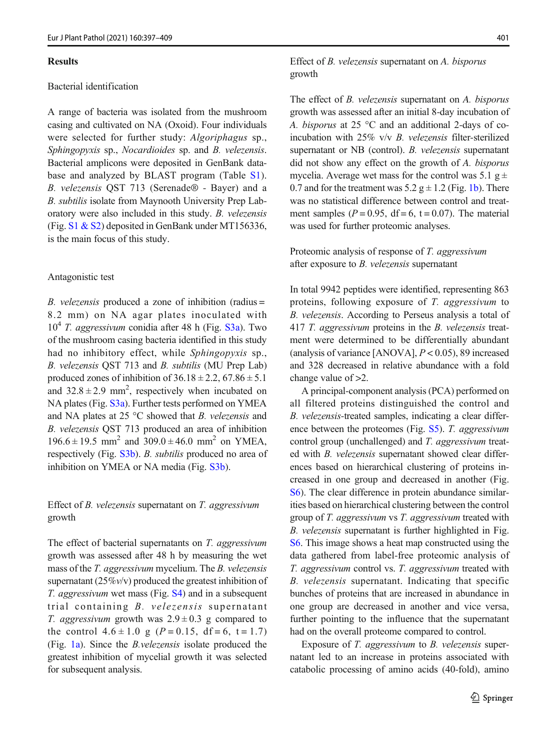#### Results

## Bacterial identification

A range of bacteria was isolated from the mushroom casing and cultivated on NA (Oxoid). Four individuals were selected for further study: Algoriphagus sp., Sphingopyxis sp., Nocardioides sp. and B. velezensis. Bacterial amplicons were deposited in GenBank database and analyzed by BLAST program (Table S1). B. velezensis QST 713 (Serenade® - Bayer) and a B. subtilis isolate from Maynooth University Prep Laboratory were also included in this study. B. velezensis (Fig. S1 & S2) deposited in GenBank under MT156336, is the main focus of this study.

#### Antagonistic test

B. velezensis produced a zone of inhibition (radius = 8.2 mm) on NA agar plates inoculated with  $10^4$  T. aggressivum conidia after 48 h (Fig. S3a). Two of the mushroom casing bacteria identified in this study had no inhibitory effect, while Sphingopyxis sp., B. velezensis QST 713 and B. subtilis (MU Prep Lab) produced zones of inhibition of  $36.18 \pm 2.2$ ,  $67.86 \pm 5.1$ and  $32.8 \pm 2.9$  mm<sup>2</sup>, respectively when incubated on NA plates (Fig. S3a). Further tests performed on YMEA and NA plates at 25  $\degree$ C showed that *B*. *velezensis* and B. velezensis QST 713 produced an area of inhibition  $196.6 \pm 19.5$  mm<sup>2</sup> and  $309.0 \pm 46.0$  mm<sup>2</sup> on YMEA, respectively (Fig. S3b). B. subtilis produced no area of inhibition on YMEA or NA media (Fig. S3b).

# Effect of B. velezensis supernatant on T. aggressivum growth

The effect of bacterial supernatants on T. aggressivum growth was assessed after 48 h by measuring the wet mass of the T. aggressivum mycelium. The B. velezensis supernatant  $(25\%v/v)$  produced the greatest inhibition of T. *aggressivum* wet mass (Fig. S4) and in a subsequent trial containing B. velezensis supernatant *T. aggressivum* growth was  $2.9 \pm 0.3$  g compared to the control  $4.6 \pm 1.0$  g ( $P = 0.15$ , df = 6, t = 1.7) (Fig. [1a\)](#page-5-0). Since the B.velezensis isolate produced the greatest inhibition of mycelial growth it was selected for subsequent analysis.

# Effect of B. velezensis supernatant on A. bisporus growth

The effect of *B. velezensis* supernatant on *A. bisporus* growth was assessed after an initial 8-day incubation of A. bisporus at 25 °C and an additional 2-days of coincubation with 25% v/v B. velezensis filter-sterilized supernatant or NB (control). *B. velezensis* supernatant did not show any effect on the growth of A. bisporus mycelia. Average wet mass for the control was 5.1  $g \pm$ 0.7 and for the treatment was  $5.2 g \pm 1.2$  (Fig. [1b](#page-5-0)). There was no statistical difference between control and treatment samples ( $P = 0.95$ , df = 6, t = 0.07). The material was used for further proteomic analyses.

Proteomic analysis of response of T. aggressivum after exposure to B. velezensis supernatant

In total 9942 peptides were identified, representing 863 proteins, following exposure of T. aggressivum to B. velezensis. According to Perseus analysis a total of 417 T. aggressivum proteins in the B. velezensis treatment were determined to be differentially abundant (analysis of variance [ANOVA],  $P < 0.05$ ), 89 increased and 328 decreased in relative abundance with a fold change value of  $>2$ .

A principal-component analysis (PCA) performed on all filtered proteins distinguished the control and B. velezensis-treated samples, indicating a clear difference between the proteomes (Fig. S5). T. aggressivum control group (unchallenged) and T. aggressivum treated with B. velezensis supernatant showed clear differences based on hierarchical clustering of proteins increased in one group and decreased in another (Fig. S6). The clear difference in protein abundance similarities based on hierarchical clustering between the control group of T. aggressivum vs T. aggressivum treated with B. velezensis supernatant is further highlighted in Fig. S6. This image shows a heat map constructed using the data gathered from label-free proteomic analysis of T. aggressivum control vs. T. aggressivum treated with B. velezensis supernatant. Indicating that specific bunches of proteins that are increased in abundance in one group are decreased in another and vice versa, further pointing to the influence that the supernatant had on the overall proteome compared to control.

Exposure of T. aggressivum to B. velezensis supernatant led to an increase in proteins associated with catabolic processing of amino acids (40-fold), amino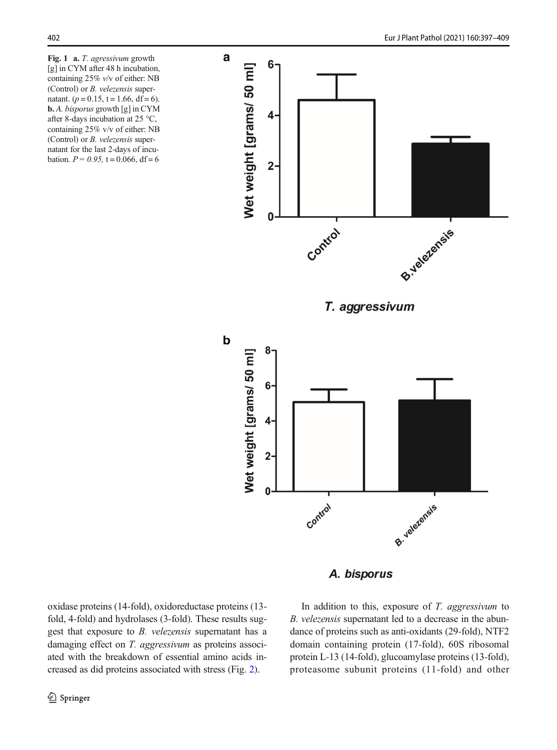<span id="page-5-0"></span>Fig. 1 a. T. agressivum growth [g] in CYM after 48 h incubation, containing 25% v/v of either: NB (Control) or B. velezensis supernatant. ( $p = 0.15$ ,  $t = 1.66$ , df = 6). b. A. bisporus growth [g] in CYM after 8-days incubation at 25 °C, containing 25% v/v of either: NB (Control) or B. velezensis supernatant for the last 2-days of incubation.  $P = 0.95$ ,  $t = 0.066$ , df = 6



# A. bisporus

oxidase proteins (14-fold), oxidoreductase proteins (13 fold, 4-fold) and hydrolases (3-fold). These results suggest that exposure to B. velezensis supernatant has a damaging effect on T. aggressivum as proteins associated with the breakdown of essential amino acids increased as did proteins associated with stress (Fig. [2\)](#page-7-0).

In addition to this, exposure of  $T$ . aggressivum to B. velezensis supernatant led to a decrease in the abundance of proteins such as anti-oxidants (29-fold), NTF2 domain containing protein (17-fold), 60S ribosomal protein L-13 (14-fold), glucoamylase proteins (13-fold), proteasome subunit proteins (11-fold) and other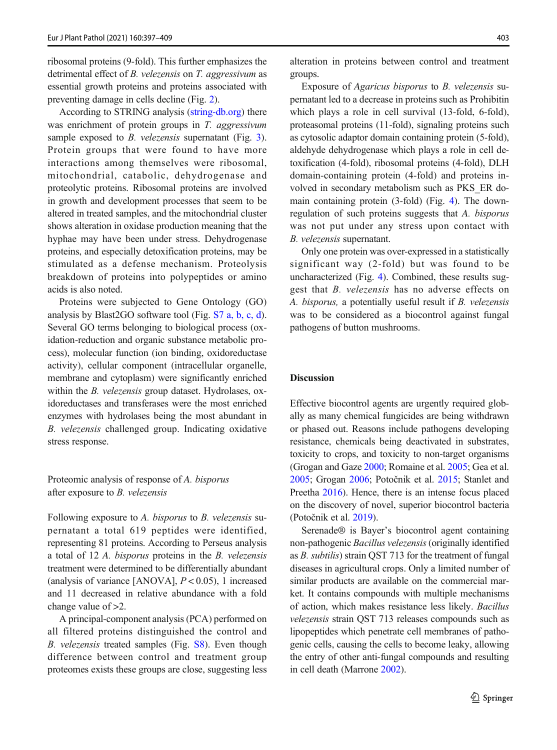ribosomal proteins (9-fold). This further emphasizes the detrimental effect of B. velezensis on T. aggressivum as essential growth proteins and proteins associated with preventing damage in cells decline (Fig. [2\)](#page-7-0).

According to STRING analysis [\(string-db.org](http://string--db.org)) there was enrichment of protein groups in T. aggressivum sample exposed to *B. velezensis* supernatant (Fig. [3\)](#page-8-0). Protein groups that were found to have more interactions among themselves were ribosomal, mitochondrial, catabolic, dehydrogenase and proteolytic proteins. Ribosomal proteins are involved in growth and development processes that seem to be altered in treated samples, and the mitochondrial cluster shows alteration in oxidase production meaning that the hyphae may have been under stress. Dehydrogenase proteins, and especially detoxification proteins, may be stimulated as a defense mechanism. Proteolysis breakdown of proteins into polypeptides or amino acids is also noted.

Proteins were subjected to Gene Ontology (GO) analysis by Blast2GO software tool (Fig. S7 a, b, c, d). Several GO terms belonging to biological process (oxidation-reduction and organic substance metabolic process), molecular function (ion binding, oxidoreductase activity), cellular component (intracellular organelle, membrane and cytoplasm) were significantly enriched within the *B. velezensis* group dataset. Hydrolases, oxidoreductases and transferases were the most enriched enzymes with hydrolases being the most abundant in B. velezensis challenged group. Indicating oxidative stress response.

Proteomic analysis of response of A. bisporus after exposure to B. velezensis

Following exposure to A. bisporus to B. velezensis supernatant a total 619 peptides were identified, representing 81 proteins. According to Perseus analysis a total of 12 A. bisporus proteins in the B. velezensis treatment were determined to be differentially abundant (analysis of variance [ANOVA],  $P < 0.05$ ), 1 increased and 11 decreased in relative abundance with a fold change value of >2.

A principal-component analysis (PCA) performed on all filtered proteins distinguished the control and B. velezensis treated samples (Fig. S8). Even though difference between control and treatment group proteomes exists these groups are close, suggesting less alteration in proteins between control and treatment groups.

Exposure of Agaricus bisporus to B. velezensis supernatant led to a decrease in proteins such as Prohibitin which plays a role in cell survival (13-fold, 6-fold), proteasomal proteins (11-fold), signaling proteins such as cytosolic adaptor domain containing protein (5-fold), aldehyde dehydrogenase which plays a role in cell detoxification (4-fold), ribosomal proteins (4-fold), DLH domain-containing protein (4-fold) and proteins involved in secondary metabolism such as PKS\_ER domain containing protein (3-fold) (Fig. [4](#page-9-0)). The downregulation of such proteins suggests that A. bisporus was not put under any stress upon contact with B. velezensis supernatant.

Only one protein was over-expressed in a statistically significant way (2-fold) but was found to be uncharacterized (Fig. [4](#page-9-0)). Combined, these results suggest that B. velezensis has no adverse effects on A. bisporus, a potentially useful result if B. velezensis was to be considered as a biocontrol against fungal pathogens of button mushrooms.

# **Discussion**

Effective biocontrol agents are urgently required globally as many chemical fungicides are being withdrawn or phased out. Reasons include pathogens developing resistance, chemicals being deactivated in substrates, toxicity to crops, and toxicity to non-target organisms (Grogan and Gaze [2000](#page-10-0); Romaine et al. [2005](#page-11-0); Gea et al. [2005](#page-10-0); Grogan [2006;](#page-10-0) Potočnik et al. [2015;](#page-11-0) Stanlet and Preetha [2016\)](#page-11-0). Hence, there is an intense focus placed on the discovery of novel, superior biocontrol bacteria (Potočnik et al. [2019](#page-11-0)).

Serenade® is Bayer's biocontrol agent containing non-pathogenic Bacillus velezensis(originally identified as B. subtilis) strain QST 713 for the treatment of fungal diseases in agricultural crops. Only a limited number of similar products are available on the commercial market. It contains compounds with multiple mechanisms of action, which makes resistance less likely. Bacillus velezensis strain QST 713 releases compounds such as lipopeptides which penetrate cell membranes of pathogenic cells, causing the cells to become leaky, allowing the entry of other anti-fungal compounds and resulting in cell death (Marrone [2002\)](#page-11-0).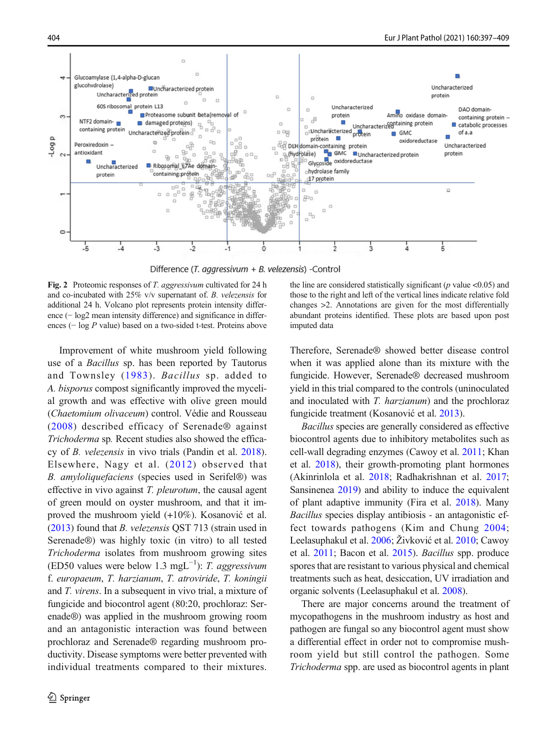<span id="page-7-0"></span>

Difference (T. aggressivum + B. velezensis) -Control

Fig. 2 Proteomic responses of T. aggressivum cultivated for 24 h and co-incubated with 25% v/v supernatant of. B. velezensis for additional 24 h. Volcano plot represents protein intensity difference (− log2 mean intensity difference) and significance in differences (− log P value) based on a two-sided t-test. Proteins above

Improvement of white mushroom yield following use of a Bacillus sp. has been reported by Tautorus and Townsley ([1983](#page-11-0)). Bacillus sp. added to A. bisporus compost significantly improved the mycelial growth and was effective with olive green mould (Chaetomium olivaceum) control. Védie and Rousseau ([2008](#page-11-0)) described efficacy of Serenade® against Trichoderma sp. Recent studies also showed the efficacy of B. velezensis in vivo trials (Pandin et al. [2018\)](#page-11-0). Elsewhere, Nagy et al. ([2012\)](#page-11-0) observed that B. amyloliquefaciens (species used in Serifel®) was effective in vivo against T. pleurotum, the causal agent of green mould on oyster mushroom, and that it improved the mushroom yield (+10%). Kosanović et al. ([2013](#page-10-0)) found that B. velezensis QST 713 (strain used in Serenade®) was highly toxic (in vitro) to all tested Trichoderma isolates from mushroom growing sites (ED50 values were below 1.3 mgL<sup>-1</sup>): T. aggressivum f. europaeum, T. harzianum, T. atroviride, T. koningii and T. virens. In a subsequent in vivo trial, a mixture of fungicide and biocontrol agent (80:20, prochloraz: Serenade®) was applied in the mushroom growing room and an antagonistic interaction was found between prochloraz and Serenade® regarding mushroom productivity. Disease symptoms were better prevented with individual treatments compared to their mixtures.

the line are considered statistically significant ( $p$  value <0.05) and those to the right and left of the vertical lines indicate relative fold changes >2. Annotations are given for the most differentially abundant proteins identified. These plots are based upon post imputed data

Therefore, Serenade® showed better disease control when it was applied alone than its mixture with the fungicide. However, Serenade® decreased mushroom yield in this trial compared to the controls (uninoculated and inoculated with T. harzianum) and the prochloraz fungicide treatment (Kosanović et al. [2013](#page-10-0)).

Bacillus species are generally considered as effective biocontrol agents due to inhibitory metabolites such as cell-wall degrading enzymes (Cawoy et al. [2011;](#page-10-0) Khan et al. [2018\)](#page-10-0), their growth-promoting plant hormones (Akinrinlola et al. [2018](#page-10-0); Radhakrishnan et al. [2017;](#page-11-0) Sansinenea [2019\)](#page-11-0) and ability to induce the equivalent of plant adaptive immunity (Fira et al. [2018](#page-10-0)). Many Bacillus species display antibiosis - an antagonistic effect towards pathogens (Kim and Chung [2004;](#page-11-0) Leelasuphakul et al. [2006](#page-11-0); Živković et al. [2010](#page-12-0); Cawoy et al. [2011;](#page-10-0) Bacon et al. [2015](#page-10-0)). Bacillus spp. produce spores that are resistant to various physical and chemical treatments such as heat, desiccation, UV irradiation and organic solvents (Leelasuphakul et al. [2008](#page-11-0)).

There are major concerns around the treatment of mycopathogens in the mushroom industry as host and pathogen are fungal so any biocontrol agent must show a differential effect in order not to compromise mushroom yield but still control the pathogen. Some Trichoderma spp. are used as biocontrol agents in plant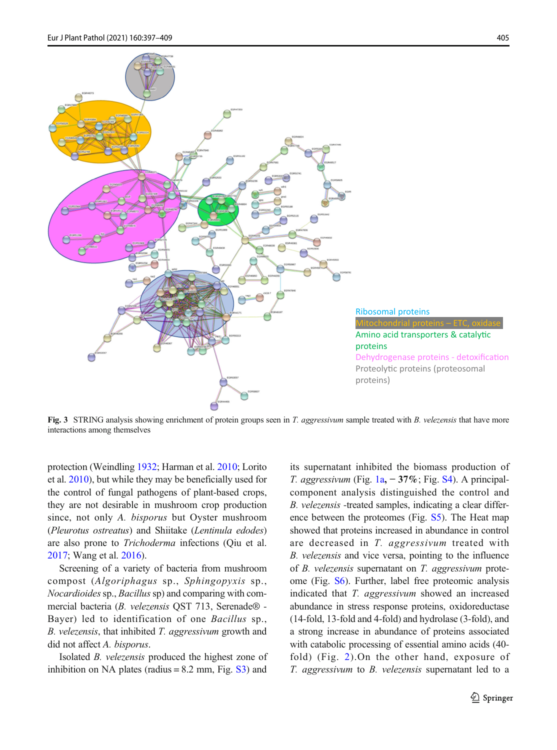<span id="page-8-0"></span>

Fig. 3 STRING analysis showing enrichment of protein groups seen in T. aggressivum sample treated with B. velezensis that have more interactions among themselves

protection (Weindling [1932](#page-12-0); Harman et al. [2010](#page-10-0); Lorito et al. [2010](#page-11-0)), but while they may be beneficially used for the control of fungal pathogens of plant-based crops, they are not desirable in mushroom crop production since, not only A. bisporus but Oyster mushroom (Pleurotus ostreatus) and Shiitake (Lentinula edodes) are also prone to Trichoderma infections (Qiu et al. [2017](#page-11-0); Wang et al. [2016\)](#page-12-0).

Screening of a variety of bacteria from mushroom compost (Algoriphagus sp., Sphingopyxis sp., Nocardioides sp., Bacillus sp) and comparing with commercial bacteria (B. velezensis QST 713, Serenade® - Bayer) led to identification of one Bacillus sp., B. velezensis, that inhibited T. aggressivum growth and did not affect A. bisporus.

Isolated B. velezensis produced the highest zone of inhibition on NA plates (radius  $= 8.2$  mm, Fig.  $\overline{S3}$ ) and

its supernatant inhibited the biomass production of T. aggressivum (Fig. [1a](#page-5-0), − 37%; Fig. S4). A principalcomponent analysis distinguished the control and B. velezensis -treated samples, indicating a clear difference between the proteomes (Fig. S5). The Heat map showed that proteins increased in abundance in control are decreased in T. aggressivum treated with B. velezensis and vice versa, pointing to the influence of B. velezensis supernatant on T. aggressivum proteome (Fig. S6). Further, label free proteomic analysis indicated that T. *aggressivum* showed an increased abundance in stress response proteins, oxidoreductase (14-fold, 13-fold and 4-fold) and hydrolase (3-fold), and a strong increase in abundance of proteins associated with catabolic processing of essential amino acids (40 fold) (Fig. [2](#page-7-0)).On the other hand, exposure of T. aggressivum to B. velezensis supernatant led to a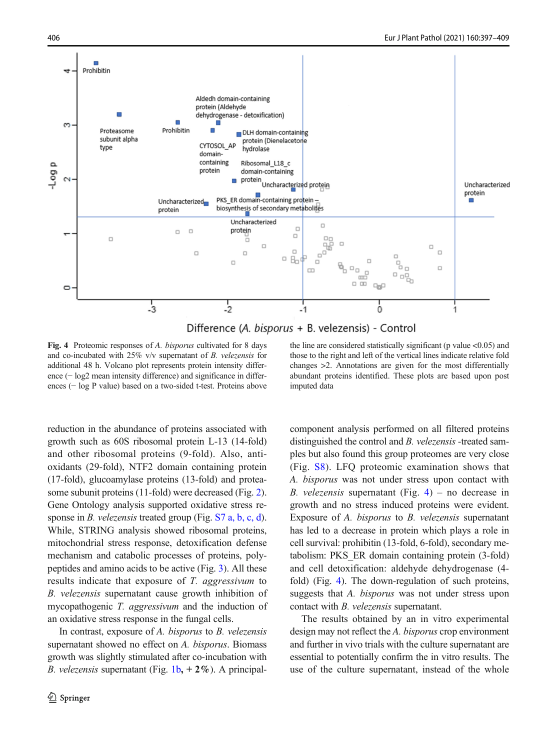<span id="page-9-0"></span>

Difference (A. bisporus + B. velezensis) - Control

Fig. 4 Proteomic responses of A. bisporus cultivated for 8 days and co-incubated with 25% v/v supernatant of B. velezensis for additional 48 h. Volcano plot represents protein intensity difference (− log2 mean intensity difference) and significance in differences (− log P value) based on a two-sided t-test. Proteins above

reduction in the abundance of proteins associated with growth such as 60S ribosomal protein L-13 (14-fold) and other ribosomal proteins (9-fold). Also, antioxidants (29-fold), NTF2 domain containing protein (17-fold), glucoamylase proteins (13-fold) and proteasome subunit proteins (11-fold) were decreased (Fig. [2\)](#page-7-0). Gene Ontology analysis supported oxidative stress response in *B. velezensis* treated group (Fig. S7 a, b, c, d). While, STRING analysis showed ribosomal proteins, mitochondrial stress response, detoxification defense mechanism and catabolic processes of proteins, polypeptides and amino acids to be active (Fig. [3\)](#page-8-0). All these results indicate that exposure of T. aggressivum to B. velezensis supernatant cause growth inhibition of mycopathogenic T. aggressivum and the induction of an oxidative stress response in the fungal cells.

In contrast, exposure of A. bisporus to B. velezensis supernatant showed no effect on A. bisporus. Biomass growth was slightly stimulated after co-incubation with *B. velezensis* supernatant (Fig.  $1b, +2\%$  $1b, +2\%$ ). A principal-

the line are considered statistically significant (p value  $\leq 0.05$ ) and those to the right and left of the vertical lines indicate relative fold changes >2. Annotations are given for the most differentially abundant proteins identified. These plots are based upon post imputed data

component analysis performed on all filtered proteins distinguished the control and B. velezensis -treated samples but also found this group proteomes are very close (Fig. S8). LFQ proteomic examination shows that A. bisporus was not under stress upon contact with B. velezensis supernatant (Fig. 4) – no decrease in growth and no stress induced proteins were evident. Exposure of A. bisporus to B. velezensis supernatant has led to a decrease in protein which plays a role in cell survival: prohibitin (13-fold, 6-fold), secondary metabolism: PKS\_ER domain containing protein (3-fold) and cell detoxification: aldehyde dehydrogenase (4 fold) (Fig. 4). The down-regulation of such proteins, suggests that A. *bisporus* was not under stress upon contact with B. velezensis supernatant.

The results obtained by an in vitro experimental design may not reflect the A. bisporus crop environment and further in vivo trials with the culture supernatant are essential to potentially confirm the in vitro results. The use of the culture supernatant, instead of the whole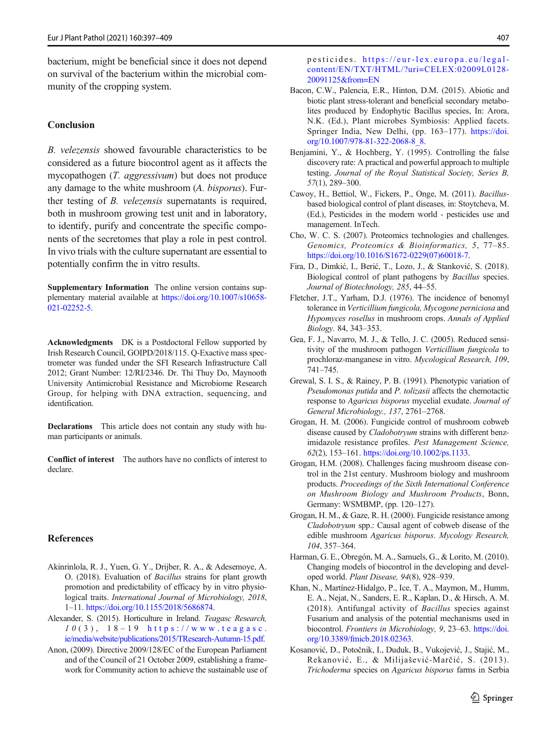<span id="page-10-0"></span>bacterium, might be beneficial since it does not depend on survival of the bacterium within the microbial community of the cropping system.

## Conclusion

B. velezensis showed favourable characteristics to be considered as a future biocontrol agent as it affects the mycopathogen (T. aggressivum) but does not produce any damage to the white mushroom (A. bisporus). Further testing of B. velezensis supernatants is required, both in mushroom growing test unit and in laboratory, to identify, purify and concentrate the specific components of the secretomes that play a role in pest control. In vivo trials with the culture supernatant are essential to potentially confirm the in vitro results.

Supplementary Information The online version contains supplementary material available at [https://doi.org/10.1007/s10658-](https://doi.org/10.1007/s10658-021-02252-5) [021-02252-5](https://doi.org/10.1007/s10658-021-02252-5).

Acknowledgments DK is a Postdoctoral Fellow supported by Irish Research Council, GOIPD/2018/115. Q-Exactive mass spectrometer was funded under the SFI Research Infrastructure Call 2012; Grant Number: 12/RI/2346. Dr. Thi Thuy Do, Maynooth University Antimicrobial Resistance and Microbiome Research Group, for helping with DNA extraction, sequencing, and identification.

Declarations This article does not contain any study with human participants or animals.

Conflict of interest The authors have no conflicts of interest to declare.

#### References

- Akinrinlola, R. J., Yuen, G. Y., Drijber, R. A., & Adesemoye, A. O. (2018). Evaluation of Bacillus strains for plant growth promotion and predictability of efficacy by in vitro physiological traits. *International Journal of Microbiology*, 2018, 1–11. <https://doi.org/10.1155/2018/5686874>.
- Alexander, S. (2015). Horticulture in Ireland. Teagasc Research,  $1 0 (3)$ ,  $1 8 - 1 9$  [https://www.teagasc.](https://www.teagasc.ie/media/website/publications/2015/TResearch--Autumn--15.pdf) [ie/media/website/publications/2015/TResearch-Autumn-15.pdf.](https://www.teagasc.ie/media/website/publications/2015/TResearch--Autumn--15.pdf)
- Anon, (2009). Directive 2009/128/EC of the European Parliament and of the Council of 21 October 2009, establishing a framework for Community action to achieve the sustainable use of

pesticides. [https://eur-lex.europa.eu/legal](https://eur--lex.europa.eu/legal--content/EN/TXT/HTML/?uri==CELEX:02009L0128--20091125&from==EN)[content/EN/TXT/HTML/?uri=CELEX:02009L0128-](https://eur--lex.europa.eu/legal--content/EN/TXT/HTML/?uri==CELEX:02009L0128--20091125&from==EN) [20091125&from=EN](https://eur--lex.europa.eu/legal--content/EN/TXT/HTML/?uri==CELEX:02009L0128--20091125&from==EN)

- Bacon, C.W., Palencia, E.R., Hinton, D.M. (2015). Abiotic and biotic plant stress-tolerant and beneficial secondary metabolites produced by Endophytic Bacillus species, In: Arora, N.K. (Ed.), Plant microbes Symbiosis: Applied facets. Springer India, New Delhi, (pp. 163–177). [https://doi.](https://doi.org/10.1007/978-81-322-2068-8_8) [org/10.1007/978-81-322-2068-8\\_8.](https://doi.org/10.1007/978-81-322-2068-8_8)
- Benjamini, Y., & Hochberg, Y. (1995). Controlling the false discovery rate: A practical and powerful approach to multiple testing. Journal of the Royal Statistical Society, Series B, 57(1), 289–300.
- Cawoy, H., Bettiol, W., Fickers, P., Onge, M. (2011). Bacillusbased biological control of plant diseases, in: Stoytcheva, M. (Ed.), Pesticides in the modern world - pesticides use and management. InTech.
- Cho, W. C. S. (2007). Proteomics technologies and challenges. Genomics, Proteomics & Bioinformatics, 5, 77–85. [https://doi.org/10.1016/S1672-0229\(07\)60018-7](https://doi.org/10.1016/S1672-0229(07)60018-7).
- Fira, D., Dimkić, I., Berić, T., Lozo, J., & Stanković, S. (2018). Biological control of plant pathogens by Bacillus species. Journal of Biotechnology, 285, 44–55.
- Fletcher, J.T., Yarham, D.J. (1976). The incidence of benomyl tolerance in Verticillium fungicola, Mycogone perniciosa and Hypomyces rosellus in mushroom crops. Annals of Applied Biology. 84, 343–353.
- Gea, F. J., Navarro, M. J., & Tello, J. C. (2005). Reduced sensitivity of the mushroom pathogen Verticillium fungicola to prochloraz-manganese in vitro. Mycological Research, 109, 741–745.
- Grewal, S. I. S., & Rainey, P. B. (1991). Phenotypic variation of Pseudomonas putida and P. tolizasii affects the chemotactic response to Agaricus bisporus mycelial exudate. Journal of General Microbiology., 137, 2761–2768.
- Grogan, H. M. (2006). Fungicide control of mushroom cobweb disease caused by Cladobotryum strains with different benzimidazole resistance profiles. Pest Management Science, 62(2), 153–161. [https://doi.org/10.1002/ps.1133.](https://doi.org/10.1002/ps.1133)
- Grogan, H.M. (2008). Challenges facing mushroom disease control in the 21st century. Mushroom biology and mushroom products. Proceedings of the Sixth International Conference on Mushroom Biology and Mushroom Products, Bonn, Germany: WSMBMP, (pp. 120–127).
- Grogan, H. M., & Gaze, R. H. (2000). Fungicide resistance among Cladobotryum spp.: Causal agent of cobweb disease of the edible mushroom Agaricus bisporus. Mycology Research, 104, 357–364.
- Harman, G. E., Obregón, M. A., Samuels, G., & Lorito, M. (2010). Changing models of biocontrol in the developing and developed world. Plant Disease, 94(8), 928–939.
- Khan, N., Martínez-Hidalgo, P., Ice, T. A., Maymon, M., Humm, E. A., Nejat, N., Sanders, E. R., Kaplan, D., & Hirsch, A. M. (2018). Antifungal activity of Bacillus species against Fusarium and analysis of the potential mechanisms used in biocontrol. Frontiers in Microbiology, 9, 23-63. [https://doi.](https://doi.org/10.3389/fmicb.2018.02363) [org/10.3389/fmicb.2018.02363](https://doi.org/10.3389/fmicb.2018.02363).
- Kosanović, D., Potočnik, I., Duduk, B., Vukojević, J., Stajić, M., Rekanović, E., & Milijašević-Marčić, S. (2013). Trichoderma species on Agaricus bisporus farms in Serbia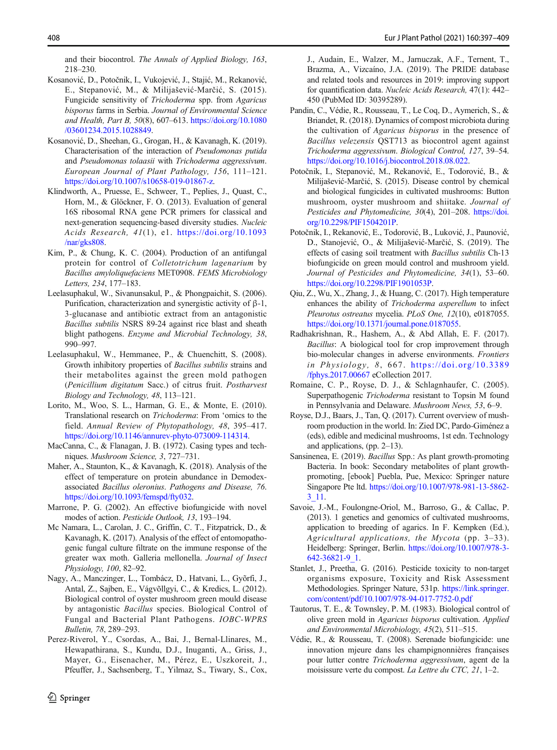<span id="page-11-0"></span>and their biocontrol. The Annals of Applied Biology, 163, 218–230.

- Kosanović, D., Potočnik, I., Vukojević, J., Stajić, M., Rekanović, E., Stepanović, M., & Milijašević-Marčić, S. (2015). Fungicide sensitivity of Trichoderma spp. from Agaricus bisporus farms in Serbia. Journal of Environmental Science and Health, Part B, 50(8), 607–613. [https://doi.org/10.1080](https://doi.org/10.1080/03601234.2015.1028849) [/03601234.2015.1028849.](https://doi.org/10.1080/03601234.2015.1028849)
- Kosanović, D., Sheehan, G., Grogan, H., & Kavanagh, K. (2019). Characterisation of the interaction of Pseudomonas putida and Pseudomonas tolaasii with Trichoderma aggressivum. European Journal of Plant Pathology, 156, 111–121. <https://doi.org/10.1007/s10658-019-01867-z>.
- Klindworth, A., Pruesse, E., Schweer, T., Peplies, J., Quast, C., Horn, M., & Glöckner, F. O. (2013). Evaluation of general 16S ribosomal RNA gene PCR primers for classical and next-generation sequencing-based diversity studies. Nucleic Acids Research, 41(1), e1. [https://doi.org/10.1093](https://doi.org/10.1093/nar/gks808) [/nar/gks808](https://doi.org/10.1093/nar/gks808).
- Kim, P., & Chung, K. C. (2004). Production of an antifungal protein for control of Colletotrichum lagenarium by Bacillus amyloliquefaciens MET0908. FEMS Microbiology Letters, 234, 177–183.
- Leelasuphakul, W., Sivanunsakul, P., & Phongpaichit, S. (2006). Purification, characterization and synergistic activity of β-1, 3-glucanase and antibiotic extract from an antagonistic Bacillus subtilis NSRS 89-24 against rice blast and sheath blight pathogens. Enzyme and Microbial Technology, 38, 990–997.
- Leelasuphakul, W., Hemmanee, P., & Chuenchitt, S. (2008). Growth inhibitory properties of Bacillus subtilis strains and their metabolites against the green mold pathogen (Penicillium digitatum Sacc.) of citrus fruit. Postharvest Biology and Technology, 48, 113–121.
- Lorito, M., Woo, S. L., Harman, G. E., & Monte, E. (2010). Translational research on Trichoderma: From 'omics to the field. Annual Review of Phytopathology, 48, 395–417. <https://doi.org/10.1146/annurev-phyto-073009-114314>.
- MacCanna, C., & Flanagan, J. B. (1972). Casing types and techniques. Mushroom Science, 3, 727–731.
- Maher, A., Staunton, K., & Kavanagh, K. (2018). Analysis of the effect of temperature on protein abundance in Demodexassociated Bacillus oleronius. Pathogens and Disease, 76. <https://doi.org/10.1093/femspd/fty032>.
- Marrone, P. G. (2002). An effective biofungicide with novel modes of action. Pesticide Outlook, 13, 193–194.
- Mc Namara, L., Carolan, J. C., Griffin, C. T., Fitzpatrick, D., & Kavanagh, K. (2017). Analysis of the effect of entomopathogenic fungal culture filtrate on the immune response of the greater wax moth. Galleria mellonella. Journal of Insect Physiology, 100, 82–92.
- Nagy, A., Manczinger, L., Tombácz, D., Hatvani, L., Gyõrfi, J., Antal, Z., Sajben, E., Vágvõllgyi, C., & Kredics, L. (2012). Biological control of oyster mushroom green mould disease by antagonistic Bacillus species. Biological Control of Fungal and Bacterial Plant Pathogens. IOBC-WPRS Bulletin, 78, 289–293.
- Perez-Riverol, Y., Csordas, A., Bai, J., Bernal-Llinares, M., Hewapathirana, S., Kundu, D.J., Inuganti, A., Griss, J., Mayer, G., Eisenacher, M., Pérez, E., Uszkoreit, J., Pfeuffer, J., Sachsenberg, T., Yilmaz, S., Tiwary, S., Cox,

J., Audain, E., Walzer, M., Jarnuczak, A.F., Ternent, T., Brazma, A., Vizcaíno, J.A. (2019). The PRIDE database and related tools and resources in 2019: improving support for quantification data. Nucleic Acids Research, 47(1): 442– 450 (PubMed ID: 30395289).

- Pandin, C., Védie, R., Rousseau, T., Le Coq, D., Aymerich, S., & Briandet, R. (2018). Dynamics of compost microbiota during the cultivation of Agaricus bisporus in the presence of Bacillus velezensis QST713 as biocontrol agent against Trichoderma aggressivum. Biological Control, 127, 39–54. [https://doi.org/10.1016/j.biocontrol.2018.08.022.](https://doi.org/10.1016/j.biocontrol.2018.08.022)
- Potočnik, I., Stepanović, M., Rekanović, E., Todorović, B., & Milijašević-Marčić, S. (2015). Disease control by chemical and biological fungicides in cultivated mushrooms: Button mushroom, oyster mushroom and shiitake. Journal of Pesticides and Phytomedicine, 30(4), 201–208. [https://doi.](https://doi.org/10.2298/PIF1504201P) [org/10.2298/PIF1504201P](https://doi.org/10.2298/PIF1504201P).
- Potočnik, I., Rekanović, E., Todorović, B., Luković, J., Paunović, D., Stanojević, O., & Milijašević-Marčić, S. (2019). The effects of casing soil treatment with Bacillus subtilis Ch-13 biofungicide on green mould control and mushroom yield. Journal of Pesticides and Phytomedicine, 34(1), 53–60. <https://doi.org/10.2298/PIF1901053P>.
- Qiu, Z., Wu, X., Zhang, J., & Huang, C. (2017). High temperature enhances the ability of Trichoderma asperellum to infect Pleurotus ostreatus mycelia. PLoS One, 12(10), e0187055. [https://doi.org/10.1371/journal.pone.0187055.](https://doi.org/10.1371/journal.pone.0187055)
- Radhakrishnan, R., Hashem, A., & Abd Allah, E. F. (2017). Bacillus: A biological tool for crop improvement through bio-molecular changes in adverse environments. Frontiers in Physiology, 8, 667. [https://doi.org/10.3389](https://doi.org/10.3389/fphys.2017.00667) [/fphys.2017.00667](https://doi.org/10.3389/fphys.2017.00667) eCollection 2017.
- Romaine, C. P., Royse, D. J., & Schlagnhaufer, C. (2005). Superpathogenic Trichoderma resistant to Topsin M found in Pennsylvania and Delaware. Mushroom News, 53, 6–9.
- Royse, D.J., Baars, J., Tan, Q. (2017). Current overview of mushroom production in the world. In: Zied DC, Pardo-Giménez a (eds), edible and medicinal mushrooms, 1st edn. Technology and applications, (pp. 2–13).
- Sansinenea, E. (2019). Bacillus Spp.: As plant growth-promoting Bacteria. In book: Secondary metabolites of plant growthpromoting, [ebook] Puebla, Pue, Mexico: Springer nature Singapore Pte ltd. [https://doi.org/10.1007/978-981-13-5862-](https://doi.org/10.1007/978-981-13-5862-3_11) [3\\_11](https://doi.org/10.1007/978-981-13-5862-3_11).
- Savoie, J.-M., Foulongne-Oriol, M., Barroso, G., & Callac, P. (2013). 1 genetics and genomics of cultivated mushrooms, application to breeding of agarics. In F. Kempken (Ed.), Agricultural applications, the Mycota (pp. 3–33). Heidelberg: Springer, Berlin. [https://doi.org/10.1007/978-3-](https://doi.org/10.1007/978-3-642-36821-9_1) [642-36821-9\\_1.](https://doi.org/10.1007/978-3-642-36821-9_1)
- Stanlet, J., Preetha, G. (2016). Pesticide toxicity to non-target organisms exposure, Toxicity and Risk Assessment Methodologies. Springer Nature, 531p. [https://link.springer.](http://dx.doi.org/10.1007/978--94--017--7752--0.pdf) [com/content/pdf/10.1007/978-94-017-7752-0.pdf](http://dx.doi.org/10.1007/978--94--017--7752--0.pdf)
- Tautorus, T. E., & Townsley, P. M. (1983). Biological control of olive green mold in Agaricus bisporus cultivation. Applied and Environmental Microbiology, 45(2), 511–515.
- Védie, R., & Rousseau, T. (2008). Serenade biofungicide: une innovation mjeure dans les champignonnières françaises pour lutter contre Trichoderma aggressivum, agent de la moisissure verte du compost. La Lettre du CTC, 21, 1–2.